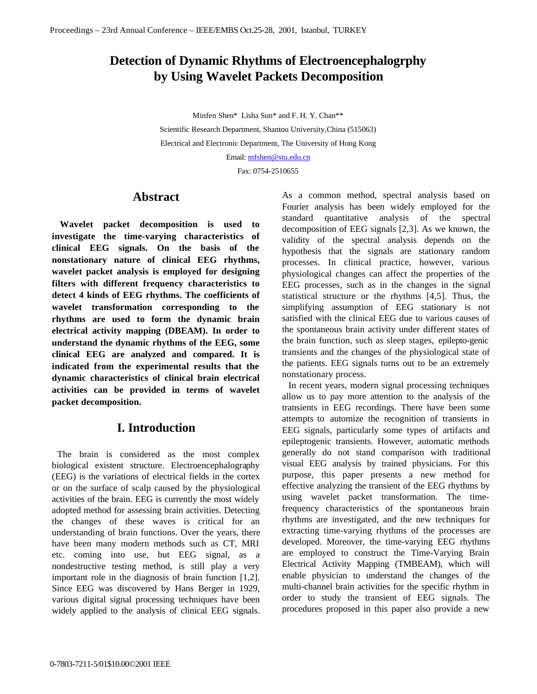# **Detection of Dynamic Rhythms of Electroencephalogrphy by Using Wavelet Packets Decomposition**

Minfen Shen\* Lisha Sun\* and F. H. Y. Chan\*\*

Scientific Research Department, Shantou University,China (515063) Electrical and Electronic Department, The University of Hong Kong

Email: mfshen@stu.edu.cn

Fax: 0754-2510655

### **Abstract**

 **Wavelet packet decomposition is used to investigate the time-varying characteristics of clinical EEG signals. On the basis of the nonstationary nature of clinical EEG rhythms, wavelet packet analysis is employed for designing filters with different frequency characteristics to detect 4 kinds of EEG rhythms. The coefficients of wavelet transformation corresponding to the rhythms are used to form the dynamic brain electrical activity mapping (DBEAM). In order to understand the dynamic rhythms of the EEG, some clinical EEG are analyzed and compared. It is indicated from the experimental results that the dynamic characteristics of clinical brain electrical activities can be provided in terms of wavelet packet decomposition.**

## **I. Introduction**

 The brain is considered as the most complex biological existent structure. Electroencephalography (EEG) is the variations of electrical fields in the cortex or on the surface of scalp caused by the physiological activities of the brain. EEG is currently the most widely adopted method for assessing brain activities. Detecting the changes of these waves is critical for an understanding of brain functions. Over the years, there have been many modern methods such as CT, MRI etc. coming into use, but EEG signal, as a nondestructive testing method, is still play a very important role in the diagnosis of brain function [1,2]. Since EEG was discovered by Hans Berger in 1929, various digital signal processing techniques have been widely applied to the analysis of clinical EEG signals.

As a common method, spectral analysis based on Fourier analysis has been widely employed for the standard quantitative analysis of the spectral decomposition of EEG signals [2,3]. As we known, the validity of the spectral analysis depends on the hypothesis that the signals are stationary random processes. In clinical practice, however, various physiological changes can affect the properties of the EEG processes, such as in the changes in the signal statistical structure or the rhythms [4,5]. Thus, the simplifying assumption of EEG stationary is not satisfied with the clinical EEG due to various causes of the spontaneous brain activity under different states of the brain function, such as sleep stages, epilepto-genic transients and the changes of the physiological state of the patients. EEG signals turns out to be an extremely nonstationary process.

 In recent years, modern signal processing techniques allow us to pay more attention to the analysis of the transients in EEG recordings. There have been some attempts to automize the recognition of transients in EEG signals, particularly some types of artifacts and epileptogenic transients. However, automatic methods generally do not stand comparison with traditional visual EEG analysis by trained physicians. For this purpose, this paper presents a new method for effective analyzing the transient of the EEG rhythms by using wavelet packet transformation. The timefrequency characteristics of the spontaneous brain rhythms are investigated, and the new techniques for extracting time-varying rhythms of the processes are developed. Moreover, the time-varying EEG rhythms are employed to construct the Time-Varying Brain Electrical Activity Mapping (TMBEAM), which will enable physician to understand the changes of the multi-channel brain activities for the specific rhythm in order to study the transient of EEG signals. The procedures proposed in this paper also provide a new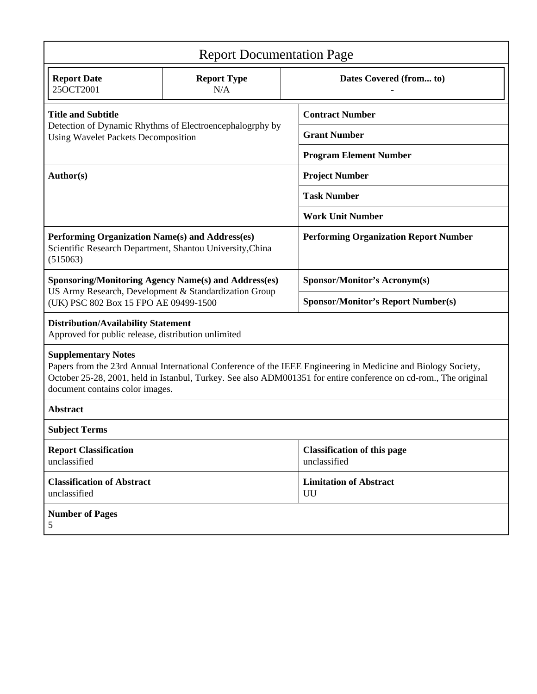| <b>Report Documentation Page</b>                                                                                                                                                                                                                                                                   |                           |                                                    |
|----------------------------------------------------------------------------------------------------------------------------------------------------------------------------------------------------------------------------------------------------------------------------------------------------|---------------------------|----------------------------------------------------|
| <b>Report Date</b><br>25OCT2001                                                                                                                                                                                                                                                                    | <b>Report Type</b><br>N/A | Dates Covered (from to)                            |
| <b>Title and Subtitle</b><br>Detection of Dynamic Rhythms of Electroencephalogrphy by<br><b>Using Wavelet Packets Decomposition</b>                                                                                                                                                                |                           | <b>Contract Number</b>                             |
|                                                                                                                                                                                                                                                                                                    |                           | <b>Grant Number</b>                                |
|                                                                                                                                                                                                                                                                                                    |                           | <b>Program Element Number</b>                      |
| Author(s)                                                                                                                                                                                                                                                                                          |                           | <b>Project Number</b>                              |
|                                                                                                                                                                                                                                                                                                    |                           | <b>Task Number</b>                                 |
|                                                                                                                                                                                                                                                                                                    |                           | <b>Work Unit Number</b>                            |
| Performing Organization Name(s) and Address(es)<br>Scientific Research Department, Shantou University, China<br>(515063)                                                                                                                                                                           |                           | <b>Performing Organization Report Number</b>       |
| <b>Sponsoring/Monitoring Agency Name(s) and Address(es)</b><br>US Army Research, Development & Standardization Group<br>(UK) PSC 802 Box 15 FPO AE 09499-1500                                                                                                                                      |                           | Sponsor/Monitor's Acronym(s)                       |
|                                                                                                                                                                                                                                                                                                    |                           | <b>Sponsor/Monitor's Report Number(s)</b>          |
| <b>Distribution/Availability Statement</b><br>Approved for public release, distribution unlimited                                                                                                                                                                                                  |                           |                                                    |
| <b>Supplementary Notes</b><br>Papers from the 23rd Annual International Conference of the IEEE Engineering in Medicine and Biology Society,<br>October 25-28, 2001, held in Istanbul, Turkey. See also ADM001351 for entire conference on cd-rom., The original<br>document contains color images. |                           |                                                    |
| <b>Abstract</b>                                                                                                                                                                                                                                                                                    |                           |                                                    |
| <b>Subject Terms</b>                                                                                                                                                                                                                                                                               |                           |                                                    |
| <b>Report Classification</b><br>unclassified                                                                                                                                                                                                                                                       |                           | <b>Classification of this page</b><br>unclassified |
| <b>Classification of Abstract</b><br>unclassified                                                                                                                                                                                                                                                  |                           | <b>Limitation of Abstract</b><br>UU                |
| <b>Number of Pages</b><br>5                                                                                                                                                                                                                                                                        |                           |                                                    |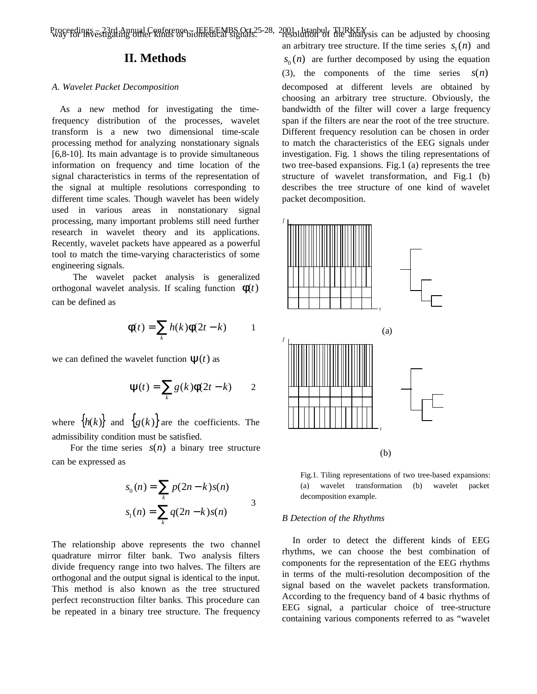Proceedings – 23rd Annual Conference – IEEE/EMBS Oct.25-28, 2001, Istanbul, TURKEY<br>way for investigating other kinds of biomedical signals.<br>

### **II. Methods**

#### *A. Wavelet Packet Decomposition*

 As a new method for investigating the timefrequency distribution of the processes, wavelet transform is a new two dimensional time-scale processing method for analyzing nonstationary signals [6,8-10]. Its main advantage is to provide simultaneous information on frequency and time location of the signal characteristics in terms of the representation of the signal at multiple resolutions corresponding to different time scales. Though wavelet has been widely used in various areas in nonstationary signal processing, many important problems still need further research in wavelet theory and its applications. Recently, wavelet packets have appeared as a powerful tool to match the time-varying characteristics of some engineering signals.

The wavelet packet analysis is generalized orthogonal wavelet analysis. If scaling function  $f(t)$ can be defined as

$$
\mathbf{f}(t) = \sum_{k} h(k)\mathbf{f}(2t - k) \qquad 1
$$

we can defined the wavelet function  $\mathbf{y}(t)$  as

$$
\mathbf{y}(t) = \sum_{k} g(k) \mathbf{f}(2t - k) \qquad 2
$$

where  $\{h(k)\}\$ and  $\{g(k)\}\$ are the coefficients. The admissibility condition must be satisfied.

For the time series  $s(n)$  a binary tree structure can be expressed as

$$
s_0(n) = \sum_{k} p(2n - k)s(n)
$$
  
\n
$$
s_1(n) = \sum_{k} q(2n - k)s(n)
$$

The relationship above represents the two channel quadrature mirror filter bank. Two analysis filters divide frequency range into two halves. The filters are orthogonal and the output signal is identical to the input. This method is also known as the tree structured perfect reconstruction filter banks. This procedure can be repeated in a binary tree structure. The frequency

an arbitrary tree structure. If the time series  $s_1(n)$  and  $s_0(n)$  are further decomposed by using the equation (3), the components of the time series  $s(n)$ decomposed at different levels are obtained by choosing an arbitrary tree structure. Obviously, the bandwidth of the filter will cover a large frequency span if the filters are near the root of the tree structure. Different frequency resolution can be chosen in order to match the characteristics of the EEG signals under investigation. Fig. 1 shows the tiling representations of two tree-based expansions. Fig.1 (a) represents the tree structure of wavelet transformation, and Fig.1 (b) describes the tree structure of one kind of wavelet packet decomposition.



Fig.1. Tiling representations of two tree-based expansions: (a) wavelet transformation (b) wavelet packet decomposition example.

#### *B Detection of the Rhythms*

 In order to detect the different kinds of EEG rhythms, we can choose the best combination of components for the representation of the EEG rhythms in terms of the multi-resolution decomposition of the signal based on the wavelet packets transformation. According to the frequency band of 4 basic rhythms of EEG signal, a particular choice of tree-structure containing various components referred to as "wavelet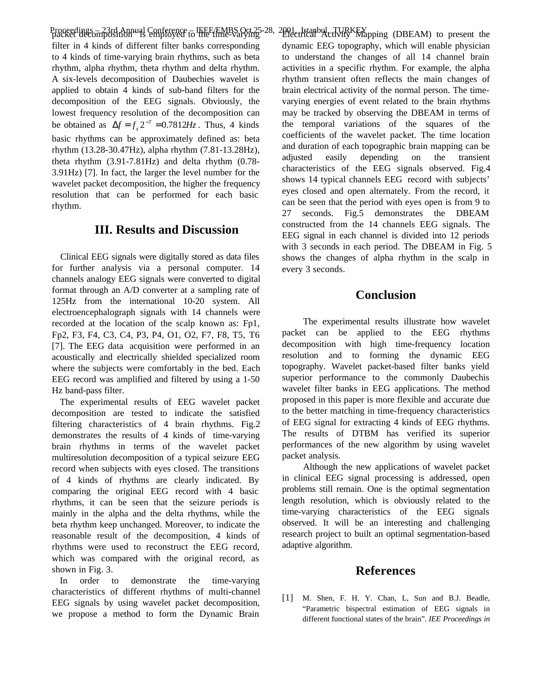Proceedings – 23rd Annual Conference – IEEE/EMBS Oct.25-28, 2001, Istanbul, TURKEY<br>packet decomposition is employed to the time-varying filter in 4 kinds of different filter banks corresponding to 4 kinds of time-varying brain rhythms, such as beta rhythm, alpha rhythm, theta rhythm and delta rhythm. A six-levels decomposition of Daubechies wavelet is applied to obtain 4 kinds of sub-band filters for the decomposition of the EEG signals. Obviously, the lowest frequency resolution of the decomposition can be obtained as  $\Delta f = f_s 2^{-7} = 0.7812Hz$ . Thus, 4 kinds basic rhythms can be approximately defined as: beta rhythm (13.28-30.47Hz), alpha rhythm (7.81-13.28Hz), theta rhythm (3.91-7.81Hz) and delta rhythm (0.78- 3.91Hz) [7]. In fact, the larger the level number for the wavelet packet decomposition, the higher the frequency resolution that can be performed for each basic rhythm.

### **III. Results and Discussion**

 Clinical EEG signals were digitally stored as data files for further analysis via a personal computer. 14 channels analogy EEG signals were converted to digital format through an A/D converter at a sampling rate of 125Hz from the international 10-20 system. All electroencephalograph signals with 14 channels were recorded at the location of the scalp known as: Fp1, Fp2, F3, F4, C3, C4, P3, P4, O1, O2, F7, F8, T5, T6 [7]. The EEG data acquisition were performed in an acoustically and electrically shielded specialized room where the subjects were comfortably in the bed. Each EEG record was amplified and filtered by using a 1-50 Hz band-pass filter.

 The experimental results of EEG wavelet packet decomposition are tested to indicate the satisfied filtering characteristics of 4 brain rhythms. Fig.2 demonstrates the results of 4 kinds of time-varying brain rhythms in terms of the wavelet packet multiresolution decomposition of a typical seizure EEG record when subjects with eyes closed. The transitions of 4 kinds of rhythms are clearly indicated. By comparing the original EEG record with 4 basic rhythms, it can be seen that the seizure periods is mainly in the alpha and the delta rhythms, while the beta rhythm keep unchanged. Moreover, to indicate the reasonable result of the decomposition, 4 kinds of rhythms were used to reconstruct the EEG record, which was compared with the original record, as shown in Fig. 3.

 In order to demonstrate the time-varying characteristics of different rhythms of multi-channel EEG signals by using wavelet packet decomposition, we propose a method to form the Dynamic Brain Electrical Activity Mapping (DBEAM) to present the dynamic EEG topography, which will enable physician to understand the changes of all 14 channel brain activities in a specific rhythm. For example, the alpha rhythm transient often reflects the main changes of brain electrical activity of the normal person. The timevarying energies of event related to the brain rhythms may be tracked by observing the DBEAM in terms of the temporal variations of the squares of the coefficients of the wavelet packet. The time location and duration of each topographic brain mapping can be adjusted easily depending on the transient characteristics of the EEG signals observed. Fig.4 shows 14 typical channels EEG record with subjects' eyes closed and open alternately. From the record, it can be seen that the period with eyes open is from 9 to 27 seconds. Fig.5 demonstrates the DBEAM constructed from the 14 channels EEG signals. The EEG signal in each channel is divided into 12 periods with 3 seconds in each period. The DBEAM in Fig. 5 shows the changes of alpha rhythm in the scalp in every 3 seconds.

### **Conclusion**

The experimental results illustrate how wavelet packet can be applied to the EEG rhythms decomposition with high time-frequency location resolution and to forming the dynamic EEG topography. Wavelet packet-based filter banks yield superior performance to the commonly Daubechis wavelet filter banks in EEG applications. The method proposed in this paper is more flexible and accurate due to the better matching in time-frequency characteristics of EEG signal for extracting 4 kinds of EEG rhythms. The results of DTBM has verified its superior performances of the new algorithm by using wavelet packet analysis.

Although the new applications of wavelet packet in clinical EEG signal processing is addressed, open problems still remain. One is the optimal segmentation length resolution, which is obviously related to the time-varying characteristics of the EEG signals observed. It will be an interesting and challenging research project to built an optimal segmentation-based adaptive algorithm.

### **References**

[1] M. Shen, F. H. Y. Chan, L, Sun and B.J. Beadle, "Parametric bispectral estimation of EEG signals in different functional states of the brain". *IEE Proceedings in*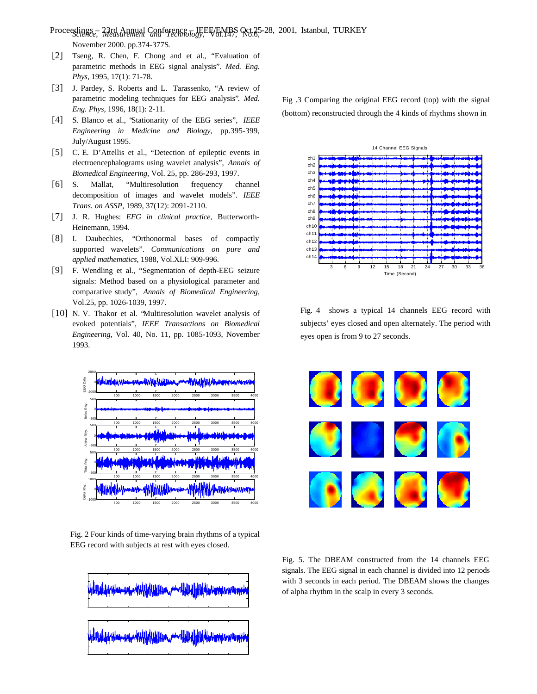*Science, Measurement and Technology,* Vol.147, No.6, Proceedings – 23rd Annual Conference – IEEE/EMBS Oct.25-28, 2001, Istanbul, TURKEYNovember 2000. pp.374-377S.

- [2] Tseng, R. Chen, F. Chong and et al., "Evaluation of parametric methods in EEG signal analysis". *Med. Eng. Phys,* 1995, 17(1): 71-78.
- [3] J. Pardey, S. Roberts and L. Tarassenko, "A review of parametric modeling techniques for EEG analysis"*. Med. Eng. Phys,* 1996, 18(1): 2-11.
- [4] S. Blanco et al., "Stationarity of the EEG series", *IEEE Engineering in Medicine and Biology*, pp.395-399, July/August 1995.
- [5] C. E. D'Attellis et al., "Detection of epileptic events in electroencephalograms using wavelet analysis", *Annals of Biomedical Engineering*, Vol. 25, pp. 286-293, 1997.
- [6] S. Mallat, "Multiresolution frequency channel decomposition of images and wavelet models". *IEEE Trans. on ASSP*, 1989, 37(12): 2091-2110.
- [7] J. R. Hughes: *EEG in clinical practice*, Butterworth-Heinemann, 1994.
- [8] I. Daubechies, "Orthonormal bases of compactly supported wavelets". *Communications on pure and applied mathematics,* 1988, Vol.XLI: 909-996.
- [9] F. Wendling et al., "Segmentation of depth-EEG seizure signals: Method based on a physiological parameter and comparative study", *Annals of Biomedical Engineering*, Vol.25, pp. 1026-1039, 1997.
- [10] N. V. Thakor et al. "Multiresolution wavelet analysis of evoked potentials", *IEEE Transactions on Biomedical Engineering*, Vol. 40, No. 11, pp. 1085-1093, November 1993.



Fig. 2 Four kinds of time-varying brain rhythms of a typical EEG record with subjects at rest with eyes closed.

<u>i associación de la cont</u>

Fig .3 Comparing the original EEG record (top) with the signal (bottom) reconstructed through the 4 kinds of rhythms shown in



Fig. 4 shows a typical 14 channels EEG record with subjects' eyes closed and open alternately. The period with eyes open is from 9 to 27 seconds.



Fig. 5. The DBEAM constructed from the 14 channels EEG signals. The EEG signal in each channel is divided into 12 periods with 3 seconds in each period. The DBEAM shows the changes of alpha rhythm in the scalp in every 3 seconds.